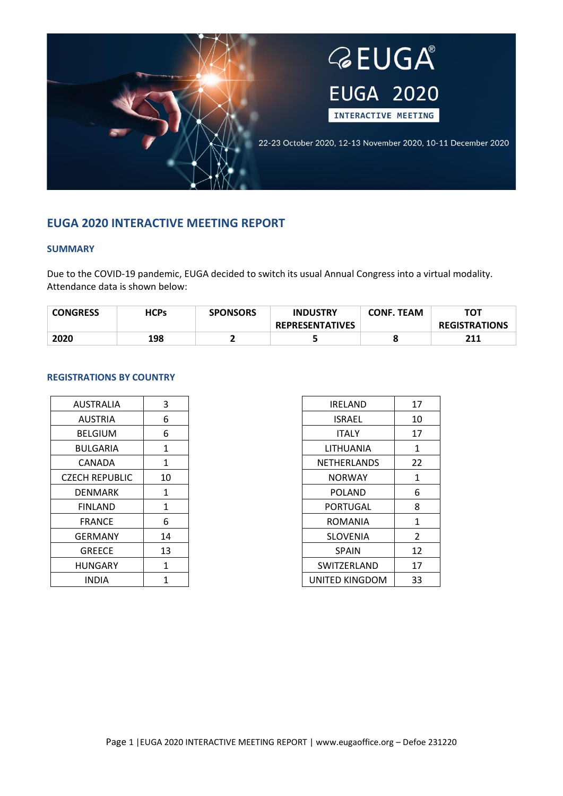

# **EUGA 2020 INTERACTIVE MEETING REPORT**

## **SUMMARY**

Due to the COVID-19 pandemic, EUGA decided to switch its usual Annual Congress into a virtual modality. Attendance data is shown below:

| <b>CONGRESS</b> | <b>HCPs</b> | <b>SPONSORS</b> | <b>INDUSTRY</b>        | <b>CONF. TEAM</b> | τοτ                  |
|-----------------|-------------|-----------------|------------------------|-------------------|----------------------|
|                 |             |                 | <b>REPRESENTATIVES</b> |                   | <b>REGISTRATIONS</b> |
| 2020            | 198         |                 |                        |                   | 211                  |

## **REGISTRATIONS BY COUNTRY**

| <b>AUSTRALIA</b>      | 3  |
|-----------------------|----|
| AUSTRIA               | 6  |
| <b>BELGIUM</b>        | 6  |
| <b>BULGARIA</b>       | 1  |
| CANADA                | 1  |
| <b>CZECH REPUBLIC</b> | 10 |
| DENMARK               | 1  |
| FINLAND               | 1  |
| FRANCE                | 6  |
| GERMANY               | 14 |
| GREECE                | 13 |
| HUNGARY               | 1  |
| INDIA                 | 1  |

| 17             |
|----------------|
| 10             |
| 17             |
| 1              |
| 22             |
| 1              |
| 6              |
| 8              |
| 1              |
| $\mathfrak{p}$ |
| 12             |
| 17             |
| 33             |
|                |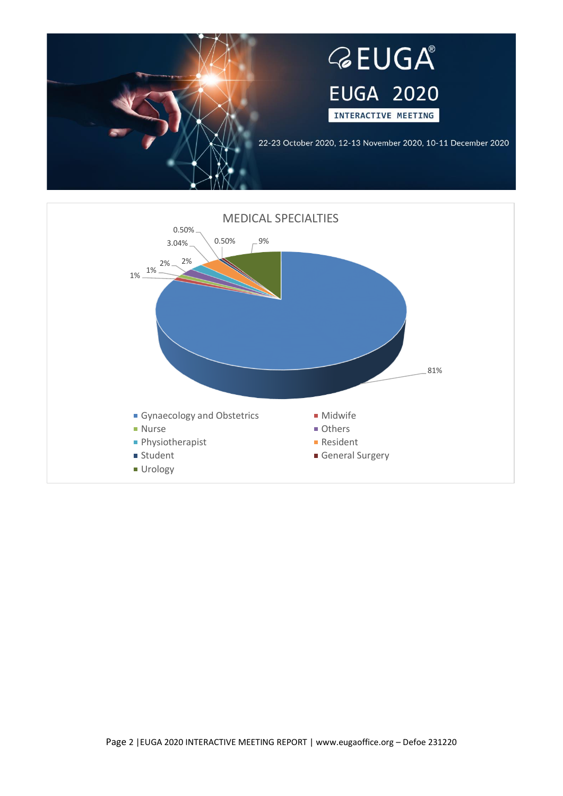

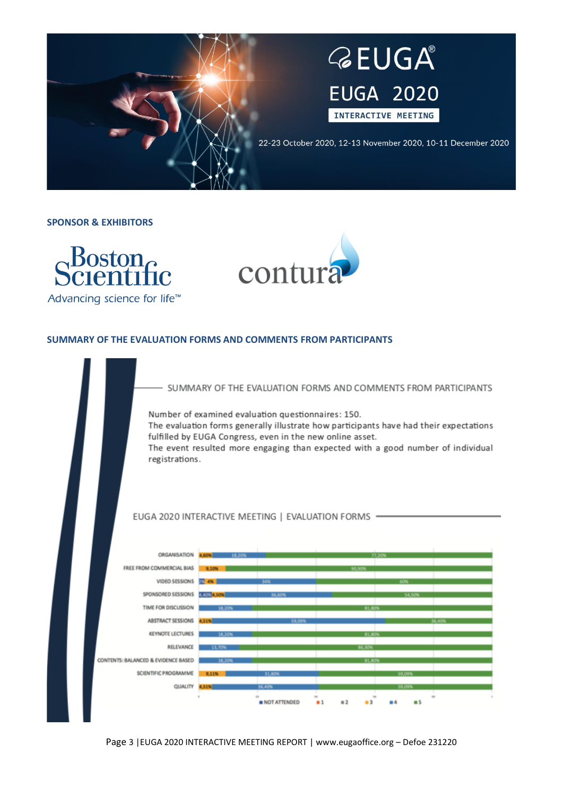

**SPONSOR & EXHIBITORS**





## **SUMMARY OF THE EVALUATION FORMS AND COMMENTS FROM PARTICIPANTS**

SUMMARY OF THE EVALUATION FORMS AND COMMENTS FROM PARTICIPANTS

Number of examined evaluation questionnaires: 150.

The evaluation forms generally illustrate how participants have had their expectations fulfilled by EUGA Congress, even in the new online asset.

The event resulted more engaging than expected with a good number of individual registrations.

#### EUGA 2020 INTERACTIVE MEETING | EVALUATION FORMS -



Page 3 |EUGA 2020 INTERACTIVE MEETING REPORT | www.eugaoffice.org – Defoe 231220